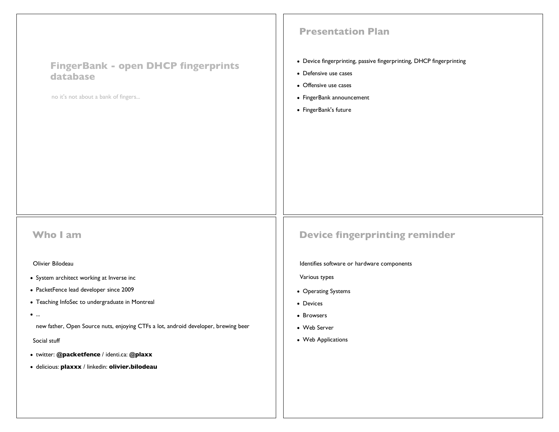| <b>FingerBank - open DHCP fingerprints</b><br>database<br>no it's not about a bank of fingers | <b>Presentation Plan</b><br>• Device fingerprinting, passive fingerprinting, DHCP fingerprinting<br>• Defensive use cases<br>• Offensive use cases<br>• FingerBank announcement<br>• FingerBank's future |
|-----------------------------------------------------------------------------------------------|----------------------------------------------------------------------------------------------------------------------------------------------------------------------------------------------------------|
| <b>Who I am</b>                                                                               | <b>Device fingerprinting reminder</b>                                                                                                                                                                    |
| Olivier Bilodeau                                                                              | Identifies software or hardware components                                                                                                                                                               |
| • System architect working at Inverse inc                                                     | Various types                                                                                                                                                                                            |
| • PacketFence lead developer since 2009                                                       | • Operating Systems                                                                                                                                                                                      |
| • Teaching InfoSec to undergraduate in Montreal                                               | • Devices                                                                                                                                                                                                |
| $\bullet$                                                                                     | • Browsers                                                                                                                                                                                               |
| new father, Open Source nuts, enjoying CTFs a lot, android developer, brewing beer            | • Web Server                                                                                                                                                                                             |
| Social stuff                                                                                  | • Web Applications                                                                                                                                                                                       |
| · twitter: @packetfence / identi.ca: @plaxx                                                   |                                                                                                                                                                                                          |
| · delicious: plaxxx / linkedin: olivier.bilodeau                                              |                                                                                                                                                                                                          |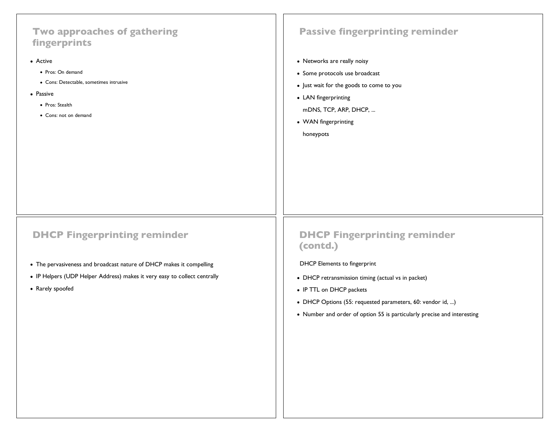# **Two approaches of gathering fingerprints** Active • Pros: On demand Cons: Detectable, sometimes intrusive • Passive • Pros: Stealth Cons: not on demand **Passive fingerprinting reminder** • Networks are really noisy • Some protocols use broadcast • Just wait for the goods to come to you • LAN fingerprinting mDNS, TCP, ARP, DHCP, ... WAN fingerprinting honeypots **DHCP Fingerprinting reminder** The pervasiveness and broadcast nature of DHCP makes it compelling **DHCP Fingerprinting reminder (contd.)** DHCP Elements to fingerprint

- IP Helpers (UDP Helper Address) makes it very easy to collect centrally
- Rarely spoofed
- DHCP retransmission timing (actual vs in packet)
- IP TTL on DHCP packets
- DHCP Options (55: requested parameters, 60: vendor id, ...)
- Number and order of option 55 is particularly precise and interesting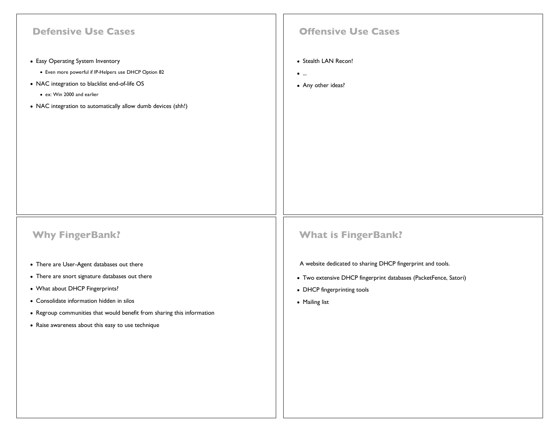| <b>Defensive Use Cases</b>                                                                                                                  | <b>Offensive Use Cases</b>                                       |
|---------------------------------------------------------------------------------------------------------------------------------------------|------------------------------------------------------------------|
| • Easy Operating System Inventory<br>• Even more powerful if IP-Helpers use DHCP Option 82<br>• NAC integration to blacklist end-of-life OS | • Stealth LAN Recon!<br>$\bullet$<br>• Any other ideas?          |
| • ex: Win 2000 and earlier                                                                                                                  |                                                                  |
| • NAC integration to automatically allow dumb devices (shh!)                                                                                |                                                                  |
|                                                                                                                                             |                                                                  |
|                                                                                                                                             |                                                                  |
|                                                                                                                                             |                                                                  |
|                                                                                                                                             |                                                                  |
|                                                                                                                                             |                                                                  |
|                                                                                                                                             |                                                                  |
| <b>Why FingerBank?</b>                                                                                                                      | <b>What is FingerBank?</b>                                       |
| • There are User-Agent databases out there                                                                                                  | A website dedicated to sharing DHCP fingerprint and tools.       |
| • There are snort signature databases out there                                                                                             | • Two extensive DHCP fingerprint databases (PacketFence, Satori) |
| • What about DHCP Fingerprints?                                                                                                             | • DHCP fingerprinting tools                                      |
| • Consolidate information hidden in silos<br>• Regroup communities that would benefit from sharing this information                         | • Mailing list                                                   |
| • Raise awareness about this easy to use technique                                                                                          |                                                                  |
|                                                                                                                                             |                                                                  |
|                                                                                                                                             |                                                                  |
|                                                                                                                                             |                                                                  |
|                                                                                                                                             |                                                                  |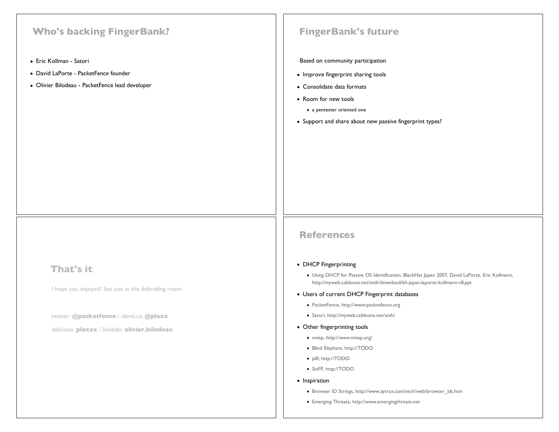# **Who's backing FingerBank?**

- Eric Kollman Satori
- David LaPorte PacketFence founder
- Olivier Bilodeau PacketFence lead developer

### **FingerBank's future**

#### Based on community participation

- Improve fingerprint sharing tools
- Consolidate data formats
- Room for new tools
	- a pentester oriented one
- Support and share about new passive fingerprint types?

## **That's it**

I hope you enjoyed! See you in the debriefing room.

twitter: **@packetfence** / identi.ca: **@plaxx**

delicious: **plaxxx** / linkedin: **olivier.bilodeau**

### **References**

### • DHCP Fingerprinting

Using DHCP for Passive OS Identification, BlackHat Japan 2007, David LaPorte, Eric Kollmann, http://myweb.cableone.net/xnih/download/bh-japan-laporte-kollmann-v8.ppt

#### Users of current DHCP Fingerprint databases

- PacketFence, http://www.packetfence.org
- Satori, http://myweb.cableone.net/xnih/
- Other fingerprinting tools
	- nmap, http://www.nmap.org/
	- Blind Elephant, http://TODO
	- p0f, http://TODO
	- SinFP, http://TODO
- Inspiration
	- Browser ID Strings, http://www.zytrax.com/tech/web/browser\_ids.htm
	- Emerging Threats, http://www.emergingthreats.net